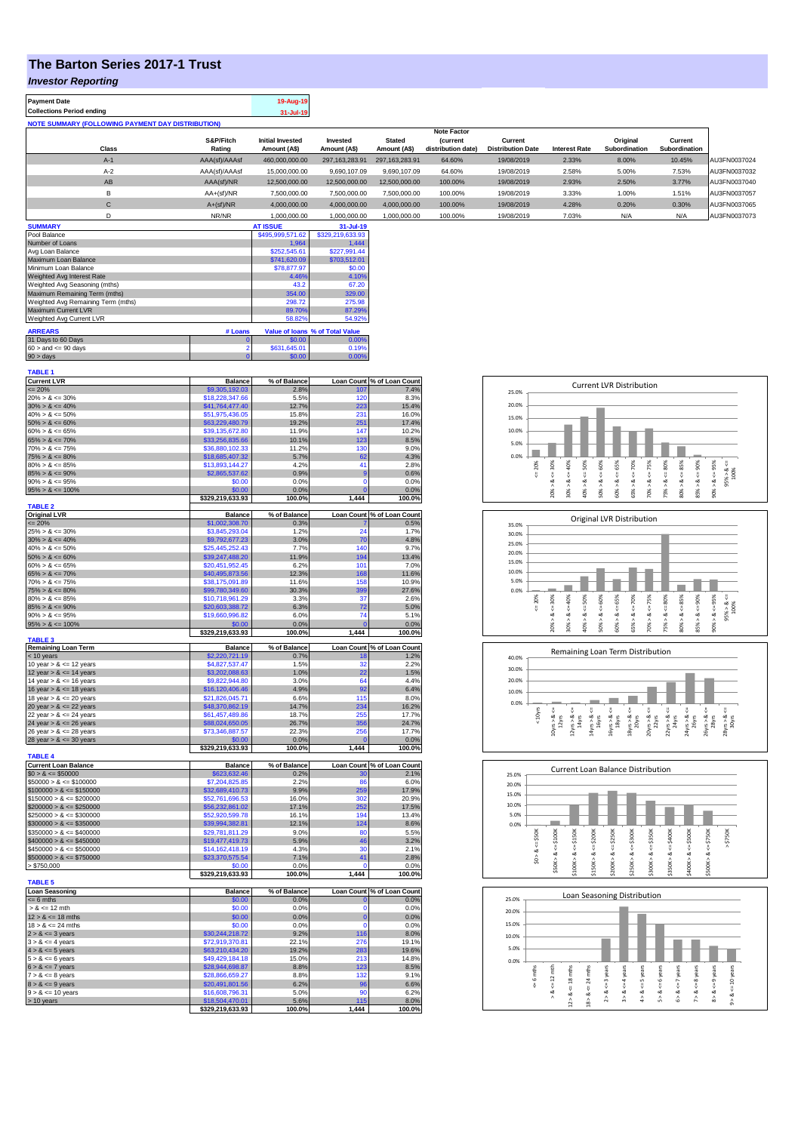## **The Barton Series 2017-1 Trust**

## *Investor Reporting*

|   |             | S&P/Fitch     | Initial Invested | Invested         | <b>Stated</b>  | <i>(current</i>    | Current                  |                      | Original      | Current       |              |
|---|-------------|---------------|------------------|------------------|----------------|--------------------|--------------------------|----------------------|---------------|---------------|--------------|
|   | Class       | Rating        | Amount (A\$)     | Amount (A\$)     | Amount (A\$)   | distribution date) | <b>Distribution Date</b> | <b>Interest Rate</b> | Subordination | Subordination |              |
|   | $A-1$       | AAA(sf)/AAAsf | 460,000,000,00   | 297.163.283.91   | 297.163.283.91 | 64.60%             | 19/08/2019               | 2.33%                | 8.00%         | 10.45%        | AU3FN0037024 |
|   | $A-2$       | AAA(sf)/AAAsf | 15,000,000.00    | 9.690.107.09     | 9.690.107.09   | 64.60%             | 19/08/2019               | 2.58%                | 5.00%         | 7.53%         | AU3FN0037032 |
|   | AB          | AAA(sf)/NR    | 12,500,000,00    | 12.500.000.00    | 12.500.000.00  | 100.00%            | 19/08/2019               | 2.93%                | 2.50%         | 3.77%         | AU3FN0037040 |
|   | в           | $AA+(sf)/NR$  | 7,500,000.00     | 7.500.000.00     | 7.500.000.00   | 100.00%            | 19/08/2019               | 3.33%                | 1.00%         | 1.51%         | AU3FN0037057 |
|   | $\sim$<br>U | $A+(sf)/NR$   | 4,000,000.00     | 4,000,000.00     | 4,000,000.00   | 100.00%            | 19/08/2019               | 4.28%                | 0.20%         | 0.30%         | AU3FN0037065 |
|   |             | NR/NR         | 1.000.000.00     | 1.000.000.00     | 1.000.000.00   | 100.00%            | 19/08/2019               | 7.03%                | N/A           | N/A           | AU3FN0037073 |
| A |             |               |                  | <b>A.L.</b> 1.10 |                |                    |                          |                      |               |               |              |

**Note Factor** 

| <b>SUMMARY</b>                     |                | <b>AT ISSUE</b>  | 31-Jul-19                       |
|------------------------------------|----------------|------------------|---------------------------------|
| Pool Balance                       |                | \$495,999,571.62 | \$329,219,633.93                |
| Number of Loans                    |                | 1.964            | 1,444                           |
| Avg Loan Balance                   |                | \$252,545.61     | \$227,991.44                    |
| Maximum Loan Balance               |                | \$741,620.09     | \$703,512.01                    |
| Minimum Loan Balance               |                | \$78,877.97      | \$0.00                          |
| Weighted Avg Interest Rate         |                | 4.46%            | 4.10%                           |
| Weighted Avg Seasoning (mths)      |                | 43.2             | 67.20                           |
| Maximum Remaining Term (mths)      |                | 354.00           | 329.00                          |
| Weighted Avg Remaining Term (mths) |                | 298.72           | 275.98                          |
| <b>Maximum Current LVR</b>         |                | 89.70%           | 87.29%                          |
| Weighted Avg Current LVR           |                | 58.82%           | 54.92%                          |
| <b>ARREARS</b>                     | # Loans        |                  | Value of loans % of Total Value |
| 31 Days to 60 Days                 | Ω              | \$0.00           | 0.00%                           |
| $60 >$ and $\leq 90$ days          | $\overline{a}$ | \$631,645.01     | 0.19%                           |
| $90 >$ days                        | 0              | \$0.00           | $0.00\%$                        |

| <b>TABLE 1</b>                                                                                                                                                                                                                           |                                    |                      |             |                                    |
|------------------------------------------------------------------------------------------------------------------------------------------------------------------------------------------------------------------------------------------|------------------------------------|----------------------|-------------|------------------------------------|
| Current LVR<br><= 20%<br>20% > & <= 30%                                                                                                                                                                                                  | <b>Balance</b>                     | % of Balance         | Loan Count  | % of Loan Count                    |
|                                                                                                                                                                                                                                          | \$9,305,192.03<br>\$18,228,347.66  | 2.8%<br>5.5%         | 107<br>120  | 7.4%<br>8.3%                       |
|                                                                                                                                                                                                                                          | \$41,764,477.40                    | 12.7%                | 223         | 15.4%                              |
| $30\% > 8 \le 40\%$<br>$40\% > 8 \le 50\%$                                                                                                                                                                                               | \$51,975,436.05                    | 15.8%                | 231         | 16.0%                              |
| $50\% > 8 \le 60\%$                                                                                                                                                                                                                      | \$63,229,480.79                    | 19.2%                | 251         | 17.4%                              |
| $60\% > 8 \le 65\%$                                                                                                                                                                                                                      | \$39,135,672.80                    | 11.9%                | 147         | 10.2%                              |
| $65\% > 8 \le 70\%$                                                                                                                                                                                                                      | \$33,256,835.66                    | 10.1%                | 123         | 8.5%                               |
| $70\% > 8 \le 75\%$                                                                                                                                                                                                                      | \$36,880,102.33                    | 11.2%                | 130         | 9.0%                               |
| $75\% > 8 \le 80\%$<br>$80\% > 8 \le 85\%$                                                                                                                                                                                               | \$18,685,407.32<br>\$13,893,144.27 | 5.7%<br>4.2%         | 62<br>41    | 4.3%<br>2.8%                       |
|                                                                                                                                                                                                                                          | \$2,865,537.62                     | 0.9%                 | <b>g</b>    | 0.6%                               |
| $85\% > 8 \le 90\%$<br>$90\% > 8 \le 95\%$                                                                                                                                                                                               | \$0.00                             | 0.0%                 | $\mathbf 0$ | 0.0%                               |
| $95\% > 8 \le 100\%$                                                                                                                                                                                                                     | \$0.00                             | 0.0%                 | $\mathbf 0$ | 0.0%                               |
|                                                                                                                                                                                                                                          | \$329,219,633.93                   | 100.0%               | 1,444       | 100.0%                             |
| <b>TABLE 2</b>                                                                                                                                                                                                                           |                                    |                      |             |                                    |
| Original LVR<br>$\leq$ 20%<br>25% > & $\leq$ 30%                                                                                                                                                                                         | <b>Balance</b><br>\$1,002,308.70   | % of Balance<br>0.3% |             | Loan Count % of Loan Count<br>0.5% |
|                                                                                                                                                                                                                                          | \$3,845,293.04                     | 1.2%                 | 24          | 1.7%                               |
| $30\% > 8 \le 40\%$                                                                                                                                                                                                                      | \$9,792,677.23                     | 3.0%                 | 70          | 4.8%                               |
| $40\% > 8 \le 50\%$                                                                                                                                                                                                                      | \$25,445,252.43                    | 7.7%                 | 140         | 9.7%                               |
| $50\% > 8 \le 60\%$                                                                                                                                                                                                                      | \$39,247,488.20                    | 11.9%                | 194         | 13.4%                              |
| $60\% > 8 \le 65\%$                                                                                                                                                                                                                      | \$20,451,952.45                    | 6.2%                 | 101         | 7.0%                               |
| $65\% > 8 \le 70\%$<br>70% > & <= 75%                                                                                                                                                                                                    | \$40,495,873.56                    | 12.3%<br>11.6%       | 168<br>158  | 11.6%<br>10.9%                     |
| $75\% > 8 \le 80\%$                                                                                                                                                                                                                      | \$38,175,091.89<br>\$99,780,349.60 | 30.3%                | 399         | 27.6%                              |
| $80\% > 8 \le 85\%$                                                                                                                                                                                                                      | \$10,718,961.29                    | 3.3%                 | 37          | 2.6%                               |
| $85\% > 8 \le 90\%$                                                                                                                                                                                                                      | \$20,603,388.72                    | 6.3%                 | 72          | 5.0%                               |
| $90\% > 8 \le 95\%$                                                                                                                                                                                                                      | \$19,660,996.82                    | 6.0%                 | 74          | 5.1%                               |
| $95\% > 8 \le 100\%$                                                                                                                                                                                                                     | \$0.00                             | 0.0%                 |             | 0.0%                               |
| <b>TABLE 3</b>                                                                                                                                                                                                                           | \$329,219,633.93                   | 100.0%               | 1.444       | 100.0%                             |
|                                                                                                                                                                                                                                          | <b>Balance</b>                     | % of Balance         |             | Loan Count % of Loan Count         |
| Remaining Loan Term<br>$<$ 10 years<br>10 year > & $<=$ 12 years                                                                                                                                                                         | \$2,220,721.19                     | 0.7%                 | 18          | 1.2%                               |
|                                                                                                                                                                                                                                          | \$4,827,537.47                     | 1.5%                 | 32          | 2.2%                               |
|                                                                                                                                                                                                                                          | \$3,202,088.63                     | 1.0%                 | 22          | 1.5%                               |
| 12 year > $& <= 14$ years<br>14 year > $& <= 16$ years<br>16 year > $& <= 18$ years<br>18 year > $& <= 20$ years                                                                                                                         | \$9,822,944.80                     | 3.0%                 | 64          | 4.4%                               |
|                                                                                                                                                                                                                                          | \$16,120,406.46                    | 4.9%                 | 92          | 6.4%                               |
|                                                                                                                                                                                                                                          | \$21,826,045.71<br>\$48,370,862.19 | 6.6%<br>14.7%        | 115<br>234  | 8.0%<br>16.2%                      |
| 20 year $> 8 \le 22$ years<br>22 year $> 8 \le 24$ years                                                                                                                                                                                 | \$61,457,489.86                    | 18.7%                | 255         | 17.7%                              |
| 24 year $> 8 \le 26$ years                                                                                                                                                                                                               | \$88,024,650.05                    | 26.7%                | 356         | 24.7%                              |
| 26 year $> 8 \le 28$ years                                                                                                                                                                                                               | \$73,346,887.57                    | 22.3%                | 256         | 17.7%                              |
| 28 year $> 8 \le 30$ years                                                                                                                                                                                                               | \$0.00                             | 0.0%                 |             | 0.0%                               |
| <b>TABLE 4</b>                                                                                                                                                                                                                           | \$329,219,633.93                   | 100.0%               | 1,444       | 100.0%                             |
|                                                                                                                                                                                                                                          | <b>Balance</b>                     | % of Balance         |             | Loan Count % of Loan Count         |
| Current Loan Balance<br>\$0 > & <= \$50000                                                                                                                                                                                               | \$623,632,46                       | 0.2%                 | 30          | 2.1%                               |
| $$50000 > 8 \le $100000$                                                                                                                                                                                                                 | \$7,204,825.85                     | 2.2%                 | 86          | 6.0%                               |
|                                                                                                                                                                                                                                          | \$32,689,410.73                    | 9.9%                 | 259         | 17.9%                              |
|                                                                                                                                                                                                                                          | \$52,761,696.53                    | 16.0%                | 302         | 20.9%                              |
|                                                                                                                                                                                                                                          | \$56,232,861.02                    | 17.1%                | 252         | 17.5%                              |
| $$300000 > \& -400000$<br>$$150000 > \& -45150000$<br>$$150000 > \& -5200000$<br>$$250000 > \& -5250000$<br>$$250000 > \& -5300000$<br>$$300000 > \& -5350000$<br>$$350000 > \& -5400000$                                                | \$52,920,599.78<br>\$39,994,382.81 | 16.1%<br>12.1%       | 194<br>124  | 13.4%<br>8.6%                      |
|                                                                                                                                                                                                                                          | \$29,781,811.29                    | 9.0%                 | 80          | 5.5%                               |
| $$400000 > 8 \le $450000$                                                                                                                                                                                                                | \$19,477,419.73                    | 5.9%                 | 46          | 3.2%                               |
| $$450000 > 8 \le $500000$                                                                                                                                                                                                                | \$14,162,418,19                    | 4.3%                 | 30          | 2.1%                               |
| $$500000 > 8 \le $750000$                                                                                                                                                                                                                | \$23,370,575.54                    | 7.1%                 | 41          | 2.8%                               |
| > \$750,000                                                                                                                                                                                                                              | \$0.00                             | 0.0%                 |             | 0.0%                               |
| <b>TABLE 5</b>                                                                                                                                                                                                                           | \$329,219,633.93                   | 100.0%               | 1,444       | 100.0%                             |
| <b>Loan Seasoning</b>                                                                                                                                                                                                                    | <b>Balance</b>                     | % of Balance         |             | Loan Count % of Loan Count         |
| $\leq 6$ mths                                                                                                                                                                                                                            | \$0.00                             | 0.0%                 | O           | 0.0%                               |
| $> 8 \le 12$ mth                                                                                                                                                                                                                         | \$0.00                             | 0.0%                 | $\Omega$    | 0.0%                               |
| $12 > 8 \le 18$ mths                                                                                                                                                                                                                     | \$0.00                             | 0.0%                 | $\bf{0}$    | 0.0%                               |
|                                                                                                                                                                                                                                          | \$0.00                             | 0.0%                 | $\Omega$    | 0.0%                               |
|                                                                                                                                                                                                                                          | \$30,244,218.72                    | 9.2%                 | 116         | 8.0%                               |
| $18 > 8 < -10$ muss<br>$2 > 8 < -24$ muss<br>$2 > 8 < -24$ years<br>$3 > 8 < -4$ years<br>$4 > 8 < -5$ years<br>$5 > 8 < -6$ years<br>$6 > 8 < -7$ years<br>$7 > 8 < -9$ years<br>$7 > 8 < -9$ years<br>$8 > -9$ years<br>$8 > -9$ years | \$72,919,370.81                    | 22.1%                | 276         | 19.1%                              |
|                                                                                                                                                                                                                                          | \$63,210,434.20<br>\$49,429,184.18 | 19.2%<br>15.0%       | 283<br>213  | 19.6%<br>14.8%                     |
|                                                                                                                                                                                                                                          | \$28,944,698.87                    | 8.8%                 | 123         | 8.5%                               |
|                                                                                                                                                                                                                                          | \$28,866,659.27                    | 8.8%                 | 132         | 9.1%                               |
|                                                                                                                                                                                                                                          | \$20,491,801.56                    | 6.2%                 | 96          | 6.6%                               |
| $9 > 8 \le 10$ years                                                                                                                                                                                                                     | \$16,608,796.31                    | 5.0%                 | 90          | 6.2%                               |
| $> 10$ years                                                                                                                                                                                                                             | \$18,504,470.01                    | 5.6%                 | 115         | 8.0%                               |
|                                                                                                                                                                                                                                          | \$329,219,633.93                   | 100.0%               | 1,444       | 100.0%                             |



٦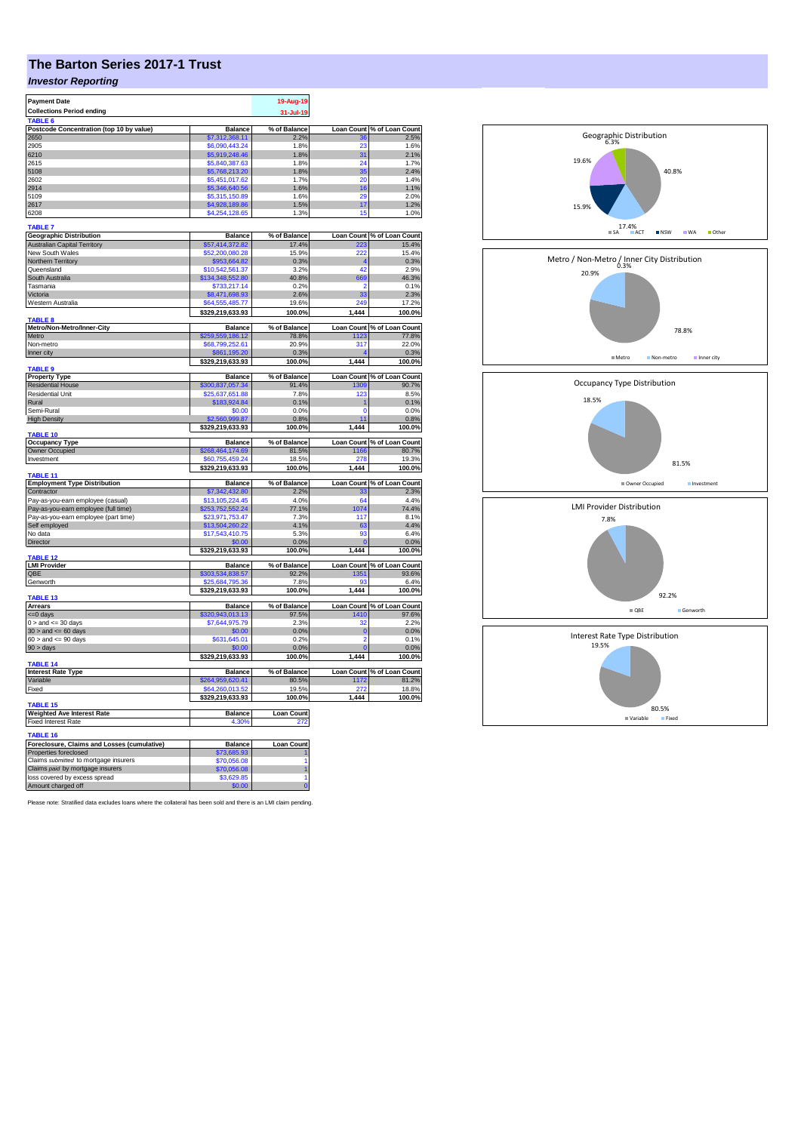# **The Barton Series 2017-1 Trust**

## *Investor Reporting*

| <b>Payment Date</b>                         |                      | 19-Aug-19           |             |                            |
|---------------------------------------------|----------------------|---------------------|-------------|----------------------------|
| <b>Collections Period ending</b>            |                      |                     |             |                            |
|                                             |                      | 31-Jul-19           |             |                            |
| <b>TABLE</b>                                |                      |                     |             |                            |
| Postcode Concentration (top 10 by value)    | <b>Balance</b>       | % of Balance        |             | Loan Count % of Loan Count |
| 2650                                        | \$7,312,368.11       | 2.2%                | 36          | 2.5%                       |
| 2905                                        | \$6,090,443.24       | 1.8%                | 23          | 1.6%                       |
| 6210                                        | \$5,919,248.46       | 1.8%                | 31          | 2.1%                       |
| 2615                                        | \$5,840,387.63       | 1.8%                | 24          | 1.7%                       |
| 5108                                        | \$5,768,213.20       | 1.8%                | 35          | 2.4%                       |
| 2602                                        | \$5.451.017.62       | 1.7%                | 20          | 1.4%                       |
|                                             |                      |                     |             |                            |
| 2914                                        | \$5,346,640.56       | 1.6%                | 16          | 1.1%                       |
| 5109                                        | \$5,315,150.89       | 1.6%                | 20          | 2.0%                       |
| 2617                                        | \$4,928,189.86       | 1.5%                | 17          | 1.2%                       |
| 6208                                        | \$4,254,128.65       | 1.3%                | 15          | 1.0%                       |
|                                             |                      |                     |             |                            |
| <b>TABLE 7</b>                              |                      |                     |             |                            |
| <b>Geographic Distribution</b>              | <b>Balance</b>       | % of Balance        |             | Loan Count % of Loan Count |
| <b>Australian Capital Territory</b>         | \$57,414,372.82      | 17.4%               |             | 15.4%                      |
| New South Wales                             | \$52,200,080.28      | 15.9%               | 222         | 15.4%                      |
| Northern Territory                          | \$953,664.82         | 0.3%                |             | 0.3%                       |
| Queensland                                  | \$10,542,561.37      | 3.2%                | 42          | 2.9%                       |
| South Australia                             | \$134,348,552.80     | 40.8%               | 669         | 46.3%                      |
|                                             |                      |                     |             |                            |
| Tasmania                                    | \$733.217.14         | 0.2%                | 2           | 0.1%                       |
| Victoria                                    | \$8,471,698.93       | 2.6%                | 33          | 2.3%                       |
| Western Australia                           | \$64,555,485,77      | 19.6%               | 249         | 17.2%                      |
|                                             | \$329,219,633.93     | 100.0%              | 1,444       | 100.0%                     |
| <b>TABLE 8</b>                              |                      |                     |             |                            |
| Metro/Non-Metro/Inner-City                  | <b>Balance</b>       | % of Balance        |             | Loan Count % of Loan Count |
| Metro                                       | \$259,559,186.12     | 78.8%               | 1123        | 77.8%                      |
| Non-metro                                   | \$68,799,252.61      | 20.9%               | 317         | 22.0%                      |
| Inner city                                  | \$861,195.20         | 0.3%                |             | 0.3%                       |
|                                             |                      |                     |             |                            |
|                                             | \$329,219,633.93     | 100.0%              | 1,444       | 100.0%                     |
| TABLE <sub>9</sub>                          |                      |                     |             |                            |
| <b>Property Type</b>                        | <b>Balance</b>       | % of Balance        |             | Loan Count % of Loan Count |
| <b>Residential House</b>                    | \$300,837,057.34     | 91.4%               | 1309        | 90.7%                      |
| Residential Unit                            | \$25,637,651.88      | 7.8%                | 123         | 8.5%                       |
| Rural                                       | \$183,924.84         | 0.1%                |             | 0.1%                       |
| Semi-Rural                                  | \$0.00               | 0.0%                | 0           | 0.0%                       |
| <b>High Density</b>                         | \$2,560,999.87       | 0.8%                | 11          | 0.8%                       |
|                                             |                      |                     |             |                            |
|                                             | \$329,219,633.93     | 100.0%              | 1,444       | 100.0%                     |
| TABLE 10                                    |                      |                     |             |                            |
| <b>Occupancy Type</b>                       | Balance              | % of Balance        |             | Loan Count % of Loan Count |
| Owner Occupied                              | \$268,464,174.69     | 81.5%               | 1166        | 80.7%                      |
| Investment                                  | \$60.755.459.24      | 18.5%               | 278         | 19.3%                      |
|                                             | \$329,219,633.93     | 100.0%              | 1,444       | 100.0%                     |
| TABLE <sub>11</sub>                         |                      |                     |             |                            |
| <b>Employment Type Distribution</b>         | Balance              | % of Balance        |             | Loan Count % of Loan Count |
| Contractor                                  | \$7,342,432.80       | 2.2%                | 33          | 2.3%                       |
| Pay-as-you-earn employee (casual)           | \$13,105,224.45      | 4.0%                | 64          | 4.4%                       |
|                                             | \$253,752,552.24     | 77.1%               | 1074        | 74.4%                      |
| Pay-as-you-earn employee (full time)        |                      |                     |             |                            |
| Pay-as-you-earn employee (part time)        | \$23,971,753.47      | 7.3%                | 117         | 8.1%                       |
| Self employed                               | \$13,504,260.22      | 4.1%                | 63          | 4.4%                       |
| No data                                     | \$17,543,410.75      | 5.3%                | 93          | 6.4%                       |
| Director                                    | \$0.00               | 0.0%                |             | 0.0%                       |
|                                             | \$329,219,633.93     | 100.0%              | 1,444       | 100.0%                     |
| <b>TABLE 12</b>                             |                      |                     |             |                            |
| <b>LMI Provider</b>                         | <b>Balance</b>       | % of Balance        |             | Loan Count % of Loan Count |
| OBE                                         | \$303.534.838.57     | 92.2%               | 1351        | 93.6%                      |
| Genworth                                    | \$25,684,795.36      | 7.8%                | 93          | 6.4%                       |
|                                             |                      | 100.0%              | 1,444       |                            |
| TABLE 13                                    | \$329,219,633.93     |                     |             | 100.0%                     |
|                                             |                      |                     |             |                            |
| <b>Arrears</b>                              | <b>Balance</b>       | % of Balance        |             | Loan Count % of Loan Count |
| $= 0$ days                                  | \$320,943,013.13     | 97.5%               | 1410        | 97.6%                      |
| $0 >$ and $\leq$ 30 days                    | \$7,644,975.79       | 2.3%                | 32          | 2.2%                       |
| $30$ > and <= 60 days                       | \$0.00               | 0.0%                | $\mathbf 0$ | 0.0%                       |
| $60 >$ and $\leq 90$ days                   | \$631,645.01         | 0.2%                | 2           | 0.1%                       |
| 90 > days                                   | \$0.00               | 0.0%                |             | 0.0%                       |
|                                             | \$329,219,633.93     | 100.0%              | 1,444       | 100.0%                     |
| <b>TABLE 14</b>                             |                      |                     |             |                            |
| <b>Interest Rate Type</b>                   | <b>Balance</b>       | % of Balance        |             | Loan Count % of Loan Count |
| Variable                                    | \$264,959,620.41     | 80.5%               |             | 81.2%                      |
|                                             |                      |                     | 1172        |                            |
| Fixed                                       | \$64,260,013.52      | 19.5%               | 272         | 18.8%                      |
|                                             | \$329,219,633.93     | 100.0%              | 1,444       | 100.0%                     |
| TABLE <sub>15</sub>                         |                      |                     |             |                            |
| <b>Weighted Ave Interest Rate</b>           | <b>Balance</b>       | <b>Loan Count</b>   |             |                            |
| <b>Fixed Interest Rate</b>                  | 4.30%                |                     |             |                            |
|                                             |                      |                     |             |                            |
| <b>TABLE 16</b>                             |                      |                     |             |                            |
| Foreclosure, Claims and Losses (cumulative) | Balance              | <b>Loan Count</b>   |             |                            |
| Properties foreclosed                       | \$73,685.93          |                     |             |                            |
| Claims submitted to mortgage insurers       | \$70,056.08          | 1                   |             |                            |
| Claims paid by mortgage insurers            | \$70,056.08          | 1                   |             |                            |
| loss covered by excess spread               |                      |                     |             |                            |
|                                             |                      |                     |             |                            |
| Amount charged off                          | \$3,629.85<br>\$0.00 | 1<br>$\overline{0}$ |             |                            |

Please note: Stratified data excludes loans where the collateral has been sold and there is an LMI claim pending.